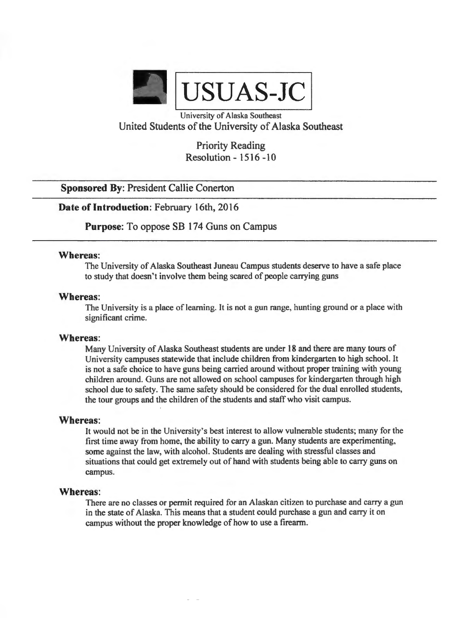

University of Alaska Southeast United Students of the University of Alaska Southeast

> Priority Reading Resolution - 1516 -10

**Sponsored By: President Callie Conerton** 

**Date of Introduction:** February 16th, 2016

**Purpose:** To oppose SB 174 Guns on Campus

## **Whereas:**

The University of Alaska Southeast Juneau Campus students deserve to have a safe place to study that doesn't involve them being scared of people carrying guns

#### **Whereas:**

The University is a place of learning. It is not a gun range hunting ground or a place with significant crime.

## **Whereas:**

Many University of Alaska Southeast students are under 18 and there are many tours of University campuses statewide that include children from kindergarten to high school. It is not a safe choice to have guns being carried around without proper training with young children around. Guns are not allowed on school campuses for kindergarten through high school due to safety. The same safety should be considered for the dual enrolled students, the tour groups and the children of the students and staff who visit campus.

## **Whereas:**

It would not be in the University's best interest to allow vulnerable students; many for the first time away from home, the ability to carry a gun. Many students are experimenting, some against the law, with alcohol. Students are dealing with stressful classes and situations that could get extremely out of hand with students being able to carry guns on campus.

#### **Whereas:**

There are no classes or permit required for an Alaskan citizen to purchase and carry a gun in the state of Alaska. This means that a student could purchase a gun and carry it on campus without the proper knowledge of how to use a firearm.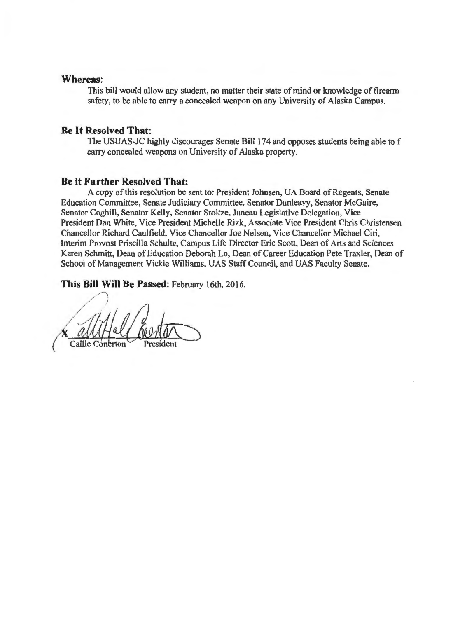## **Whereas:**

This bill would allow any student, no matter their state of mind or knowledge of firearm safety, to be able to carry a concealed weapon on any University of Alaska Campus.

#### **Be It Resolved That:**

The USUAS-JC highly discourages Senate Bill 174 and opposes students being able to f carry concealed weapons on University of Alaska property.

## **Be it Further Resolved That:**

A copy of this resolution be sent to: President Johnsen, UA Board of Regents, Senate Education Committee, Senate Judiciary Committee, Senator Dunleavy, Senator McGuire, Senator Coghill, Senator Kelly, Senator Stoltze, Juneau Legislative Delegation, Vice President Dan White, Vice President Michelle Rizk, Associate Vice President Chris Christensen Chancellor Richard Caulfield, Vice Chancellor Joe Nelson, Vice Chancellor Michael Ciri, Interim Provost Priscilla Schulte, Campus Life Director Eric Scott, Dean of Arts and Sciences Karen Schmitt, Dean of Education Deborah Lo, Dean of Career Education Pete Traxler, Dean of School of Management Vickie Williams, UAS Staff Council, and UAS Faculty Senate.

This Bill Will Be Passed: February 16th, 2016.

/ *•'-rta /* /J*..... /* ' . X au 1/4 al Control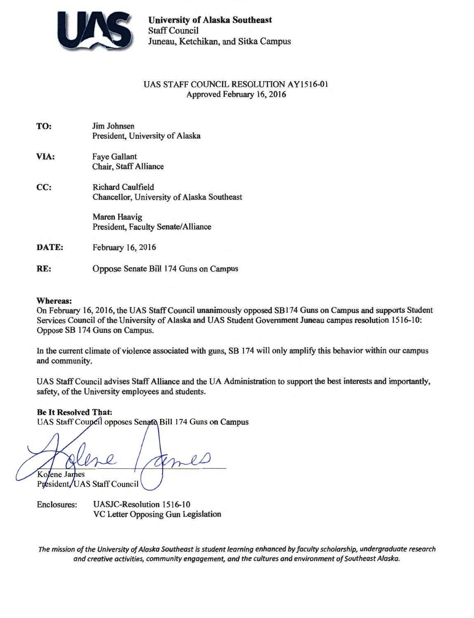

**University of Alaska Southeast**  Staff Council Juneau, Ketchikan, and Sitka Campus

## UAS STAFF COUNCIL RESOLUTION AY1516-01 Approved February 16, 2016

| TO:          | Jim Johnsen                                |
|--------------|--------------------------------------------|
|              | President, University of Alaska            |
| VIA:         | <b>Faye Gallant</b>                        |
|              | Chair, Staff Alliance                      |
| CC:          | <b>Richard Caulfield</b>                   |
|              | Chancellor, University of Alaska Southeast |
|              | Maren Haavig                               |
|              | President, Faculty Senate/Alliance         |
| <b>DATE:</b> | February 16, 2016                          |
|              |                                            |
| RE:          | Oppose Senate Bill 174 Guns on Campus      |

#### **Whereas:**

On February 16, 2016, the UAS Staff Council unanimously opposed SBl 74 Guns on Campus and supports Student Services Council of the University of Alaska and UAS Student Government Juneau campus resolution 1516-10: Oppose SB 174 Guns on Campus.

In the current climate of violence associated with guns, SB 174 will only amplify this behavior within our campus and community.

UAS Staff Council advises Staff Alliance and the UA Administration to support the best interests and importantly, safety, of the University employees and students.

**Be It Resolved That:** 

UAS Staff Council opposes Senate Bill 174 Guns on Campus

Kolene James

President/UAS Staff Council

Enclosures: UASJC-Resolution 1516-10 VC Letter Opposing Gun Legislation

*The mission of the University of Alaska Southeast is student learning enhanced by faculty scholarship, undergraduate research and creative activities, community engagement, and the cultures and environment of Southeast Alaska.*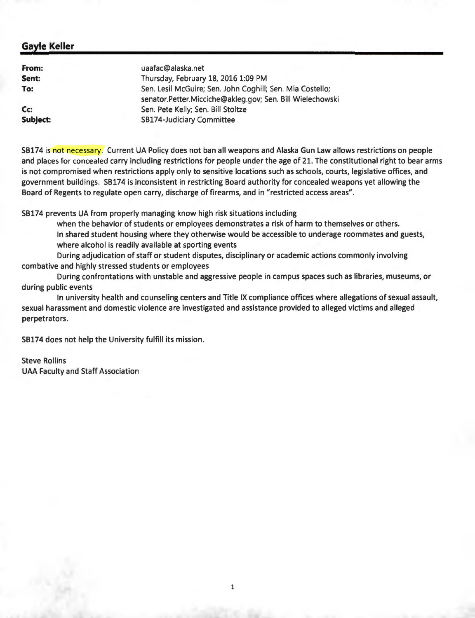| From:    | uaafac@alaska.net                                         |
|----------|-----------------------------------------------------------|
| Sent:    | Thursday, February 18, 2016 1:09 PM                       |
| To:      | Sen. Lesil McGuire; Sen. John Coghill; Sen. Mia Costello; |
|          | senator.Petter.Micciche@akleg.gov; Sen. Bill Wielechowski |
| Cc       | Sen. Pete Kelly; Sen. Bill Stoltze                        |
| Subject: | <b>SB174-Judiciary Committee</b>                          |

SB174 is not necessary. Current UA Policy does not ban all weapons and Alaska Gun Law allows restrictions on people and places for concealed carry including restrictions for people under the age of 21. The constitutional right to bear arms is not compromised when restrictions apply only to sensitive locations such as schools, courts, legislative offices, and government buildings. SB174 is inconsistent in restricting Board authority for concealed weapons yet allowing the Board of Regents to regulate open carry, discharge of firearms, and in "restricted access areas".

SB174 prevents UA from properly managing know high risk situations including

when the behavior of students or employees demonstrates a risk of harm to themselves or others. In shared student housing where they otherwise would be accessible to underage roommates and guests, where alcohol is readily available at sporting events

During adjudication of staff or student disputes, disciplinary or academic actions commonly involving combative and highly stressed students or employees

During confrontations with unstable and aggressive people in campus spaces such as libraries, museums, or during public events

In university health and counseling centers and Title IX compliance offices where allegations of sexual assault, sexual harassment and domestic violence are investigated and assistance provided to alleged victims and alleged perpetrators.

SB174 does not help the University fulfill its mission.

Steve Rollins UAA Faculty and Staff Association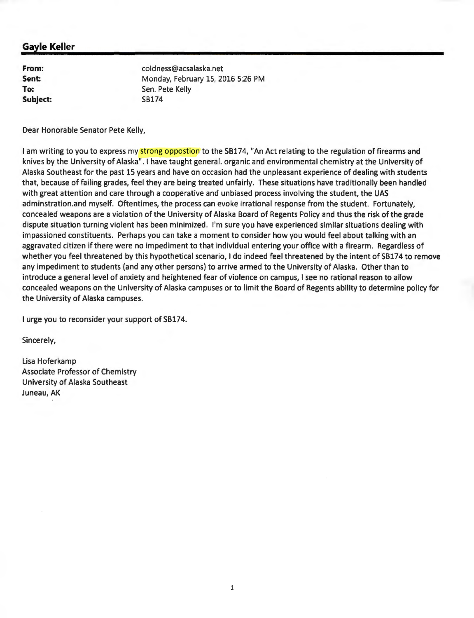**From: Sent: To: Subject:**  coldness@acsalaska.net Monday, February 15, 2016 5:26 PM Sen. Pete Kelly SB174

Dear Honorable Senator Pete Kelly,

I am writing to you to express my strong oppostion to the SB174, "An Act relating to the regulation of firearms and knives by the University of Alaska". I have taught general. organic and environmental chemistry at the University of Alaska Southeast for the past 15 years and have on occasion had the unpleasant experience of dealing with students that, because of failing grades, feel they are being treated unfairly. These situations have traditionally been handled with great attention and care through a cooperative and unbiased process involving the student, the UAS adminstration.and myself. Oftentimes, the process can evoke irrational response from the student. Fortunately, concealed weapons are a violation of the University of Alaska Board of Regents Policy and thus the risk of the grade dispute situation turning violent has been minimized. I'm sure you have experienced similar situations dealing with impassioned constituents. Perhaps you can take a moment to consider how you would feel about talking with an aggravated citizen if there were no impediment to that individual entering your office with a firearm. Regardless of whether you feel threatened by this hypothetical scenario, I do indeed feel threatened by the intent of SB174 to remove any impediment to students (and any other persons) to arrive armed to the University of Alaska . Other than to introduce a general level of anxiety and heightened fear of violence on campus, I see no rational reason to allow concealed weapons on the University of Alaska campuses or to limit the Board of Regents ability to determine policy for the University of Alaska campuses.

I urge you to reconsider your support of SB174.

Sincerely,

Lisa Hoferkamp Associate Professor of Chemistry University of Alaska Southeast Juneau, AK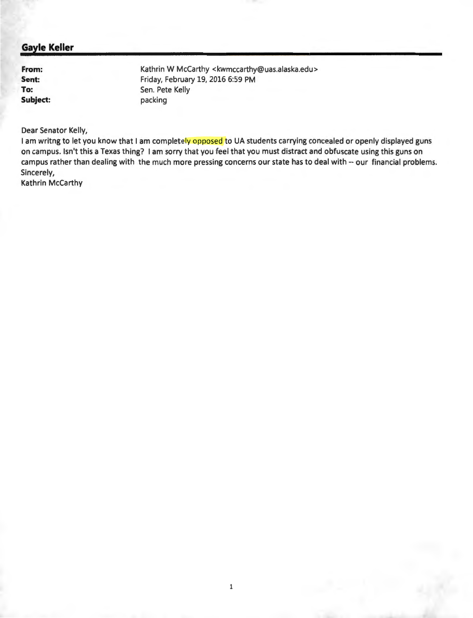**From: Sent: To: Subject:**  Kathrin W McCarthy <kwmccarthy@uas.alaska.edu> Friday, February 19, 2016 6:59 PM Sen. Pete Kelly packing

Dear Senator Kelly,

I am writng to let you know that I am completely opposed to UA students carrying concealed or openly displayed guns on campus. Isn't this a Texas thing? I am sorry that you feel that you must distract and obfuscate using this guns on campus rather than dealing with the much more pressing concerns our state has to deal with -- our financial problems. Sincerely,

Kathrin McCarthy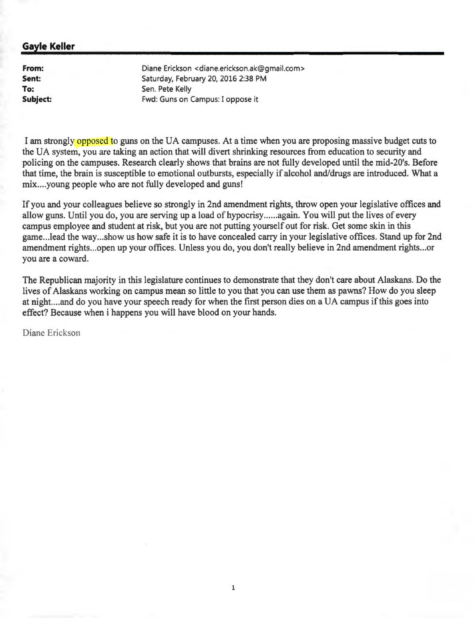**From: Sent: To: Subject:** 

Diane Erickson <diane.erickson.ak@gmail.com> Saturday, February 20, 2016 2:38 PM Sen. Pete Kelly Fwd: Guns on Campus: I oppose it

I am strongly opposed to guns on the UA campuses. At a time when you are proposing massive budget cuts to the UA system, you are taking an action that will divert shrinking resources from education to security and policing on the campuses. Research clearly shows that brains are not fully developed until the mid-20's. Before that time, the brain is susceptible to emotional outbursts, especially if alcohol and/drugs are introduced. What a mix....young people who are not fully developed and guns!

If you and your colleagues believe so strongly in 2nd amendment rights, throw open your legislative offices and allow guns. Until you do, you are serving up a load of hypocrisy ...... again. You will put the lives of every campus employee and student at risk, but you are not putting yourself out for risk. Get some skin in this game...lead the way...show us how safe it is to have concealed carry in your legislative offices. Stand up for 2nd amendment rights ... open up your offices. Unless you do, you don't really believe in 2nd amendment rights ... or you are a coward.

The Republican majority in this legislature continues to demonstrate that they don't care about Alaskans. Do the lives of Alaskans working on campus mean so little to you that you can use them as pawns? How do you sleep at night.. .. and do you have your speech ready for when the first person dies on a UA campus if this goes into effect? Because when i happens you will have blood on your hands.

Diane Erickson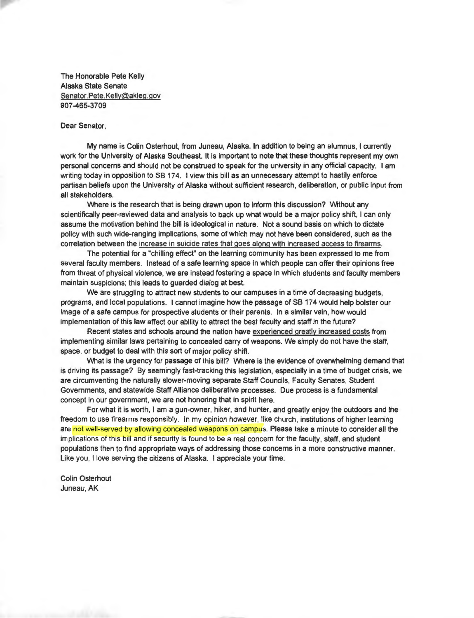The Honorable Pete Kelly Alaska State Senate Senator. Pete. Kelly@akleg.gov 907-465-3709

#### Dear Senator,

My name is Colin Osterhout, from Juneau, Alaska. In addition to being an alumnus, I currently work for the University of Alaska Southeast. It is important to note that these thoughts represent my own personal concerns and should not be construed to speak for the university in any official capacity. I am writing today in opposition to SB 174. I view this bill as an unnecessary attempt to hastily enforce partisan beliefs upon the University of Alaska without sufficient research, deliberation, or public input from all stakeholders.

\/Vhere is the research that is being drawn upon to inform this discussion? Without any scientifically peer-reviewed data and analysis to back up what would be a major policy shift, I can only assume the motivation behind the bill is ideological in nature. Not a sound basis on which to dictate policy with such wide-ranging implications, some of which may not have been considered, such as the correlation between the increase in suicide rates that goes along with increased access to firearms.

The potential for a "chilling effect" on the learning community has been expressed to me from several faculty members. Instead of a safe learning space in which people can offer their opinions free from threat of physical violence, we are instead fostering a space in which students and faculty members maintain suspicions; this leads to guarded dialog at best.

We are struggling to attract new students to our campuses in a time of decreasing budgets, programs, and local populations. I cannot imagine how the passage of SB 174 would help bolster our image of a safe campus for prospective students or their parents. In a similar vein, how would implementation of this law affect our ability to attract the best faculty and staff in the future?

Recent states and schools around the nation have experienced greatly increased costs from implementing similar laws pertaining to concealed carry of weapons. We simply do not have the staff, space, or budget to deal with this sort of major policy shift.

\/Vhat is the urgency for passage of this bill? \/Vhere is the evidence of overwhelming demand that is driving its passage? By seemingly fast-tracking this legislation, especially in a time of budget crisis, we are circumventing the naturally slower-moving separate Staff Councils, Faculty Senates, Student Governments, and statewide Staff Alliance deliberative processes. Due process is a fundamental concept in our government, we are not honoring that in spirit here.

For what it is worth, I am a gun-owner, hiker, and hunter, and greatly enjoy the outdoors and the freedom to use firearms responsibly. In my opinion however, like church, institutions of higher learning are not well-served by allowing concealed weapons on campus. Please take a minute to consider all the implications of this bill and if security is found to be a real concern for the faculty, staff, and student populations then to find appropriate ways of addressing those concerns in a more constructive manner. Like you, I love serving the citizens of Alaska. I appreciate your time.

Colin Osterhout Juneau, AK